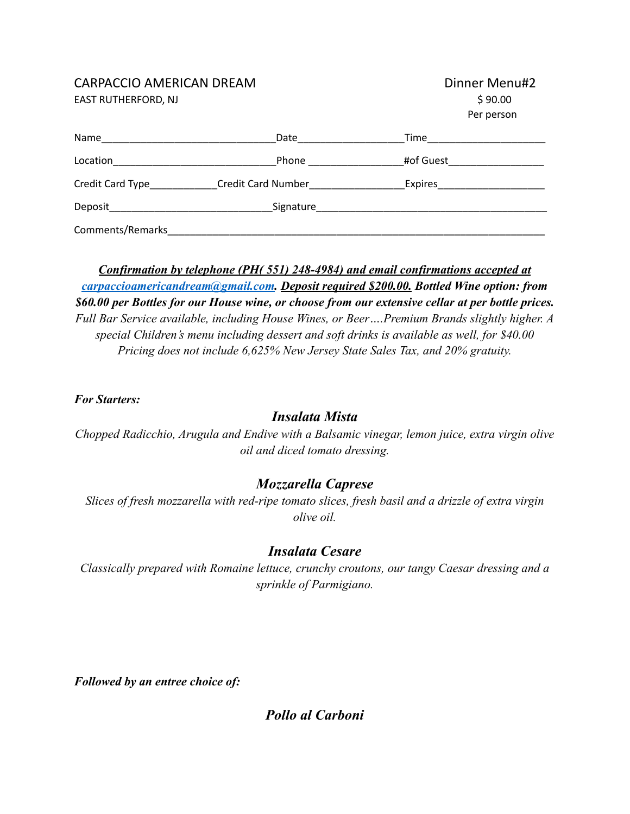#### CARPACCIO AMERICAN DREAM

EAST RUTHERFORD, NJ

| Dinner Menu#2 |
|---------------|
| \$90.00       |
| Per person    |

| Name                              | Date                      | Time      |  |
|-----------------------------------|---------------------------|-----------|--|
| Location                          | Phone                     | #of Guest |  |
| Credit Card Type<br><u>Letter</u> | <b>Credit Card Number</b> | Expires   |  |
| Deposit                           | Signature                 |           |  |
| Comments/Remarks                  |                           |           |  |

*Confirmation by telephone (PH( 551) 248-4984) and email confirmations accepted at [carpaccioamericandream@gmail.com](mailto:carpaccioamericandream@gmail.com). Deposit required \$200.00. Bottled Wine option: from \$60.00 per Bottles for our House wine, or choose from our extensive cellar at per bottle prices. Full Bar Service available, including House Wines, or Beer….Premium Brands slightly higher. A special Children's menu including dessert and soft drinks is available as well, for \$40.00 Pricing does not include 6,625% New Jersey State Sales Tax, and 20% gratuity.*

#### *For Starters:*

## *Insalata Mista*

*Chopped Radicchio, Arugula and Endive with a Balsamic vinegar, lemon juice, extra virgin olive oil and diced tomato dressing.*

## *Mozzarella Caprese*

*Slices of fresh mozzarella with red-ripe tomato slices, fresh basil and a drizzle of extra virgin olive oil.*

## *Insalata Cesare*

*Classically prepared with Romaine lettuce, crunchy croutons, our tangy Caesar dressing and a sprinkle of Parmigiano.*

*Followed by an entree choice of:*

*Pollo al Carboni*